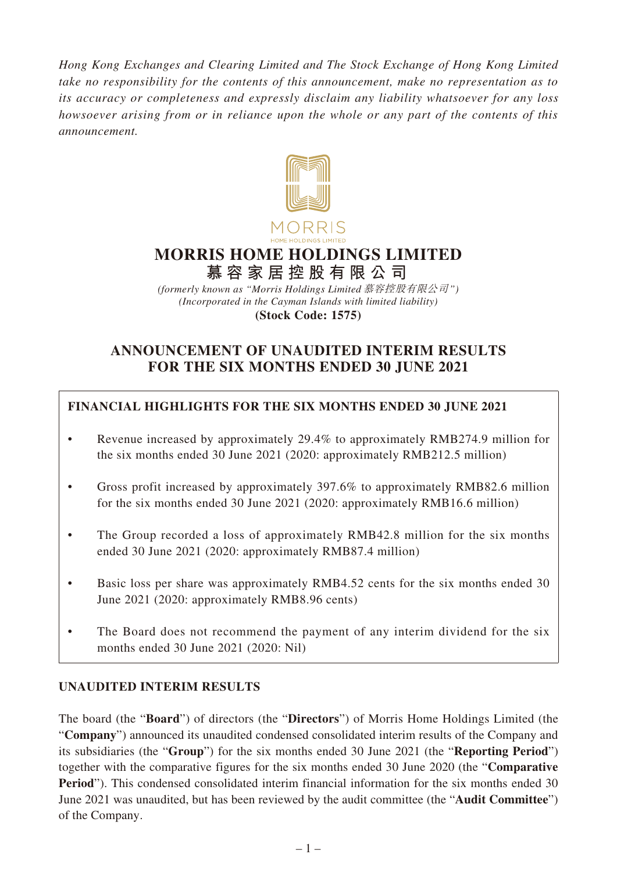*Hong Kong Exchanges and Clearing Limited and The Stock Exchange of Hong Kong Limited take no responsibility for the contents of this announcement, make no representation as to its accuracy or completeness and expressly disclaim any liability whatsoever for any loss howsoever arising from or in reliance upon the whole or any part of the contents of this announcement.*



# **MORRIS HOME HOLDINGS LIMITED 慕容家居控股有限公司**

*(Incorporated in the Cayman Islands with limited liability)* **(Stock Code: 1575)** *(formerly known as "Morris Holdings Limited* 慕容控股有限公司*")*

# **ANNOUNCEMENT OF UNAUDITED INTERIM RESULTS FOR THE SIX MONTHS ENDED 30 JUNE 2021**

# **FINANCIAL HIGHLIGHTS FOR THE SIX MONTHS ENDED 30 JUNE 2021**

- Revenue increased by approximately 29.4% to approximately RMB274.9 million for the six months ended 30 June 2021 (2020: approximately RMB212.5 million)
- Gross profit increased by approximately 397.6% to approximately RMB82.6 million for the six months ended 30 June 2021 (2020: approximately RMB16.6 million)
- The Group recorded a loss of approximately RMB42.8 million for the six months ended 30 June 2021 (2020: approximately RMB87.4 million)
- Basic loss per share was approximately RMB4.52 cents for the six months ended 30 June 2021 (2020: approximately RMB8.96 cents)
- The Board does not recommend the payment of any interim dividend for the six months ended 30 June 2021 (2020: Nil)

# **UNAUDITED INTERIM RESULTS**

The board (the "**Board**") of directors (the "**Directors**") of Morris Home Holdings Limited (the "**Company**") announced its unaudited condensed consolidated interim results of the Company and its subsidiaries (the "**Group**") for the six months ended 30 June 2021 (the "**Reporting Period**") together with the comparative figures for the six months ended 30 June 2020 (the "**Comparative Period**"). This condensed consolidated interim financial information for the six months ended 30 June 2021 was unaudited, but has been reviewed by the audit committee (the "**Audit Committee**") of the Company.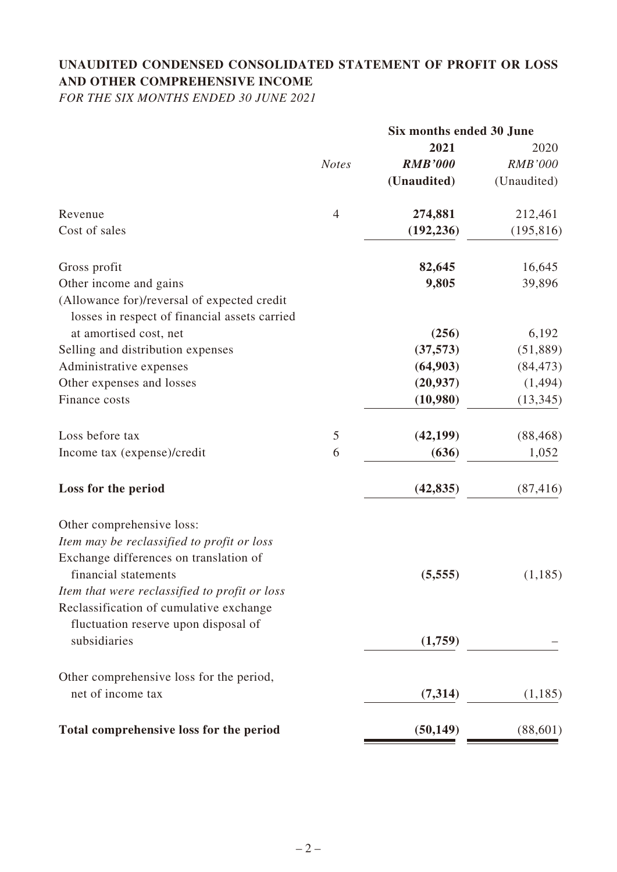# **UNAUDITED CONDENSED CONSOLIDATED STATEMENT OF PROFIT OR LOSS AND OTHER COMPREHENSIVE INCOME**

*FOR THE SIX MONTHS ENDED 30 JUNE 2021*

|                                                                                              | Six months ended 30 June |                |                |
|----------------------------------------------------------------------------------------------|--------------------------|----------------|----------------|
|                                                                                              |                          | 2021           | 2020           |
|                                                                                              | <b>Notes</b>             | <b>RMB'000</b> | <b>RMB'000</b> |
|                                                                                              |                          | (Unaudited)    | (Unaudited)    |
| Revenue                                                                                      | $\overline{4}$           | 274,881        | 212,461        |
| Cost of sales                                                                                |                          | (192, 236)     | (195, 816)     |
| Gross profit                                                                                 |                          | 82,645         | 16,645         |
| Other income and gains                                                                       |                          | 9,805          | 39,896         |
| (Allowance for)/reversal of expected credit<br>losses in respect of financial assets carried |                          |                |                |
| at amortised cost, net                                                                       |                          | (256)          | 6,192          |
| Selling and distribution expenses                                                            |                          | (37, 573)      | (51, 889)      |
| Administrative expenses                                                                      |                          | (64,903)       | (84, 473)      |
| Other expenses and losses                                                                    |                          | (20, 937)      | (1, 494)       |
| Finance costs                                                                                |                          | (10,980)       | (13, 345)      |
| Loss before tax                                                                              | 5                        | (42, 199)      | (88, 468)      |
| Income tax (expense)/credit                                                                  | 6                        | (636)          | 1,052          |
| Loss for the period                                                                          |                          | (42, 835)      | (87, 416)      |
| Other comprehensive loss:                                                                    |                          |                |                |
| Item may be reclassified to profit or loss                                                   |                          |                |                |
| Exchange differences on translation of                                                       |                          |                |                |
| financial statements                                                                         |                          | (5,555)        | (1,185)        |
| Item that were reclassified to profit or loss                                                |                          |                |                |
| Reclassification of cumulative exchange                                                      |                          |                |                |
| fluctuation reserve upon disposal of                                                         |                          |                |                |
| subsidiaries                                                                                 |                          | (1,759)        |                |
| Other comprehensive loss for the period,                                                     |                          |                |                |
| net of income tax                                                                            |                          | (7,314)        | (1,185)        |
| Total comprehensive loss for the period                                                      |                          | (50, 149)      | (88, 601)      |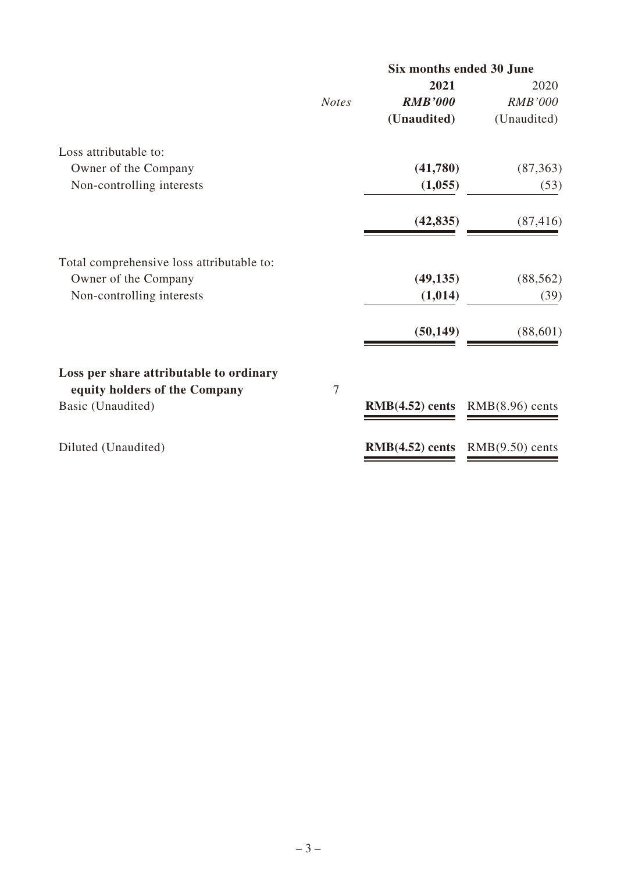|              | Six months ended 30 June |                   |  |
|--------------|--------------------------|-------------------|--|
|              | 2021                     | 2020              |  |
| <b>Notes</b> | <b>RMB'000</b>           | <b>RMB'000</b>    |  |
|              | (Unaudited)              | (Unaudited)       |  |
|              |                          |                   |  |
|              | (41,780)                 | (87, 363)         |  |
|              | (1,055)                  | (53)              |  |
|              | (42, 835)                | (87, 416)         |  |
|              |                          |                   |  |
|              | (49, 135)                | (88, 562)         |  |
|              | (1,014)                  | (39)              |  |
|              | (50, 149)                | (88, 601)         |  |
|              |                          |                   |  |
|              |                          |                   |  |
|              |                          | $RMB(8.96)$ cents |  |
|              | $RMB(4.52)$ cents        | $RMB(9.50)$ cents |  |
|              | $\overline{7}$           | $RMB(4.52)$ cents |  |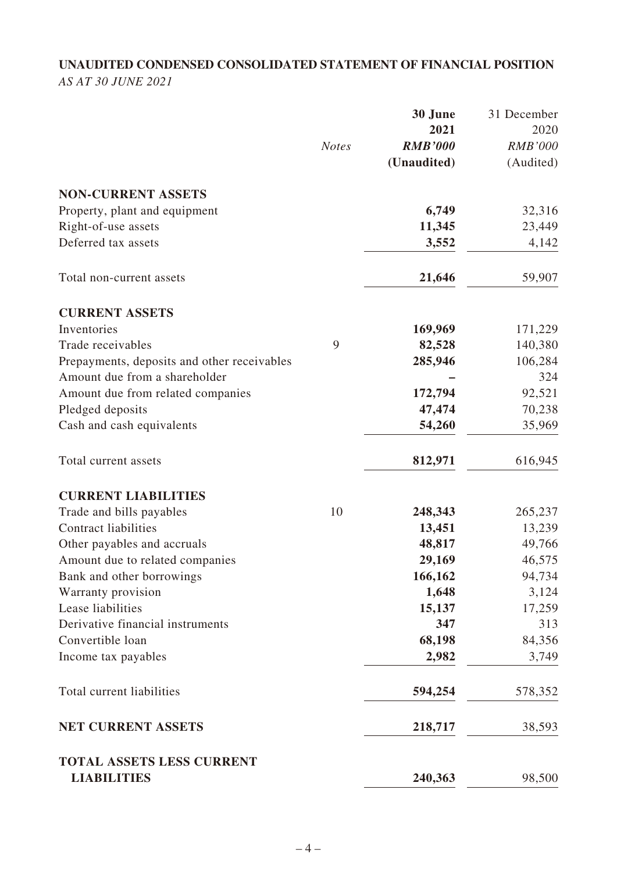# **UNAUDITED CONDENSED CONSOLIDATED STATEMENT OF FINANCIAL POSITION** *AS AT 30 JUNE 2021*

|                                                        |              | 30 June        | 31 December    |
|--------------------------------------------------------|--------------|----------------|----------------|
|                                                        |              | 2021           | 2020           |
|                                                        | <b>Notes</b> | <b>RMB'000</b> | <b>RMB'000</b> |
|                                                        |              | (Unaudited)    | (Audited)      |
| <b>NON-CURRENT ASSETS</b>                              |              |                |                |
| Property, plant and equipment                          |              | 6,749          | 32,316         |
| Right-of-use assets                                    |              | 11,345         | 23,449         |
| Deferred tax assets                                    |              | 3,552          | 4,142          |
| Total non-current assets                               |              | 21,646         | 59,907         |
| <b>CURRENT ASSETS</b>                                  |              |                |                |
| Inventories                                            |              | 169,969        | 171,229        |
| Trade receivables                                      | 9            | 82,528         | 140,380        |
| Prepayments, deposits and other receivables            |              | 285,946        | 106,284        |
| Amount due from a shareholder                          |              |                | 324            |
| Amount due from related companies                      |              | 172,794        | 92,521         |
| Pledged deposits                                       |              | 47,474         | 70,238         |
| Cash and cash equivalents                              |              | 54,260         | 35,969         |
| Total current assets                                   |              | 812,971        | 616,945        |
| <b>CURRENT LIABILITIES</b>                             |              |                |                |
| Trade and bills payables                               | 10           | 248,343        | 265,237        |
| <b>Contract liabilities</b>                            |              | 13,451         | 13,239         |
| Other payables and accruals                            |              | 48,817         | 49,766         |
| Amount due to related companies                        |              | 29,169         | 46,575         |
| Bank and other borrowings                              |              | 166,162        | 94,734         |
| Warranty provision                                     |              | 1,648          | 3,124          |
| Lease liabilities                                      |              | 15,137         | 17,259         |
| Derivative financial instruments                       |              | 347            | 313            |
| Convertible loan                                       |              | 68,198         | 84,356         |
| Income tax payables                                    |              | 2,982          | 3,749          |
| Total current liabilities                              |              | 594,254        | 578,352        |
| <b>NET CURRENT ASSETS</b>                              |              | 218,717        | 38,593         |
| <b>TOTAL ASSETS LESS CURRENT</b><br><b>LIABILITIES</b> |              | 240,363        | 98,500         |
|                                                        |              |                |                |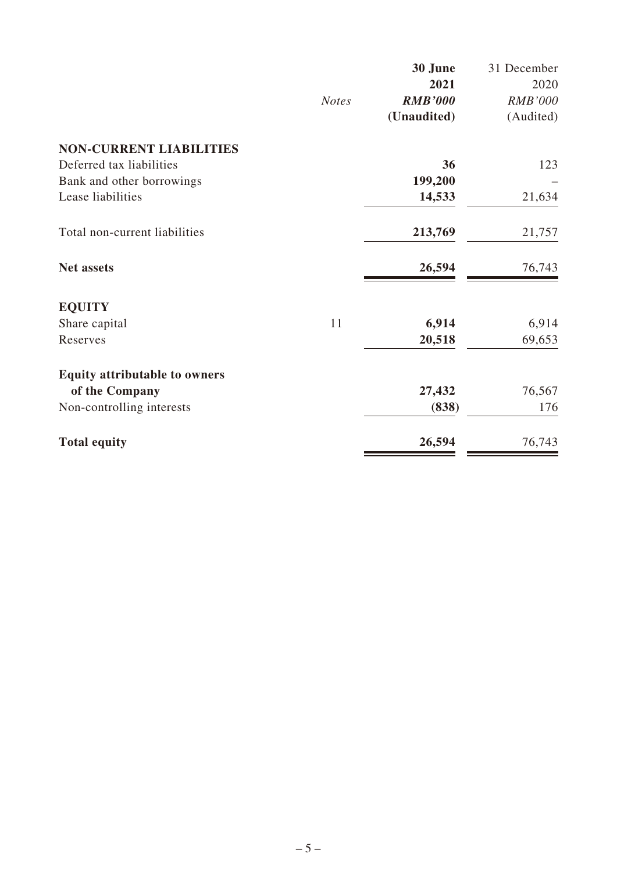|                                      |              | 30 June        | 31 December    |
|--------------------------------------|--------------|----------------|----------------|
|                                      |              | 2021           | 2020           |
|                                      | <b>Notes</b> | <b>RMB'000</b> | <b>RMB'000</b> |
|                                      |              | (Unaudited)    | (Audited)      |
| <b>NON-CURRENT LIABILITIES</b>       |              |                |                |
| Deferred tax liabilities             |              | 36             | 123            |
| Bank and other borrowings            |              | 199,200        |                |
| Lease liabilities                    |              | 14,533         | 21,634         |
| Total non-current liabilities        |              | 213,769        | 21,757         |
| Net assets                           |              | 26,594         | 76,743         |
| <b>EQUITY</b>                        |              |                |                |
| Share capital                        | 11           | 6,914          | 6,914          |
| Reserves                             |              | 20,518         | 69,653         |
| <b>Equity attributable to owners</b> |              |                |                |
| of the Company                       |              | 27,432         | 76,567         |
| Non-controlling interests            |              | (838)          | 176            |
| <b>Total equity</b>                  |              | 26,594         | 76,743         |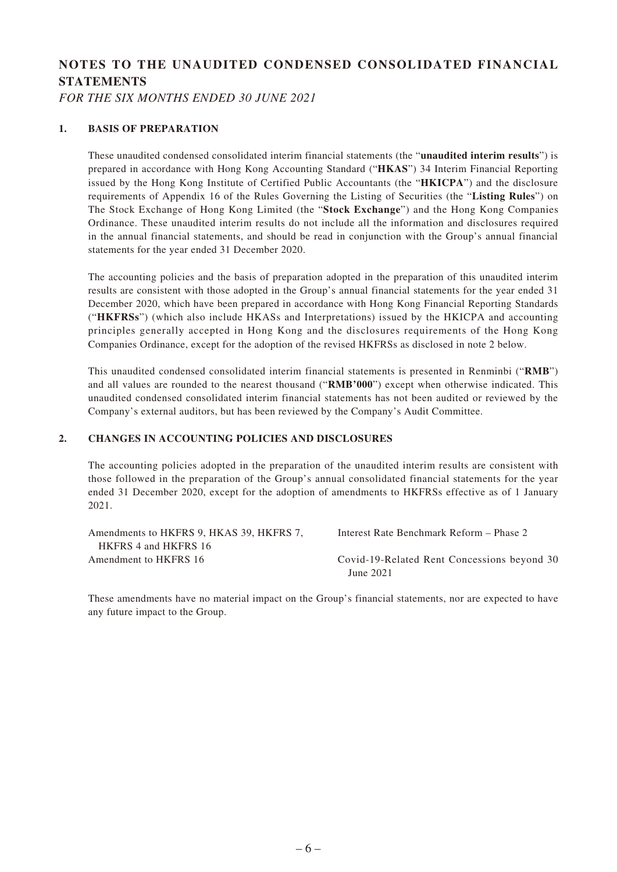# **NOTES TO THE UNAUDITED CONDENSED CONSOLIDATED FINANCIAL STATEMENTS**

*FOR THE SIX MONTHS ENDED 30 JUNE 2021*

#### **1. BASIS OF PREPARATION**

These unaudited condensed consolidated interim financial statements (the "**unaudited interim results**") is prepared in accordance with Hong Kong Accounting Standard ("**HKAS**") 34 Interim Financial Reporting issued by the Hong Kong Institute of Certified Public Accountants (the "**HKICPA**") and the disclosure requirements of Appendix 16 of the Rules Governing the Listing of Securities (the "**Listing Rules**") on The Stock Exchange of Hong Kong Limited (the "**Stock Exchange**") and the Hong Kong Companies Ordinance. These unaudited interim results do not include all the information and disclosures required in the annual financial statements, and should be read in conjunction with the Group's annual financial statements for the year ended 31 December 2020.

The accounting policies and the basis of preparation adopted in the preparation of this unaudited interim results are consistent with those adopted in the Group's annual financial statements for the year ended 31 December 2020, which have been prepared in accordance with Hong Kong Financial Reporting Standards ("**HKFRSs**") (which also include HKASs and Interpretations) issued by the HKICPA and accounting principles generally accepted in Hong Kong and the disclosures requirements of the Hong Kong Companies Ordinance, except for the adoption of the revised HKFRSs as disclosed in note 2 below.

This unaudited condensed consolidated interim financial statements is presented in Renminbi ("**RMB**") and all values are rounded to the nearest thousand ("**RMB'000**") except when otherwise indicated. This unaudited condensed consolidated interim financial statements has not been audited or reviewed by the Company's external auditors, but has been reviewed by the Company's Audit Committee.

#### **2. CHANGES IN ACCOUNTING POLICIES AND DISCLOSURES**

The accounting policies adopted in the preparation of the unaudited interim results are consistent with those followed in the preparation of the Group's annual consolidated financial statements for the year ended 31 December 2020, except for the adoption of amendments to HKFRSs effective as of 1 January 2021.

| Amendments to HKFRS 9, HKAS 39, HKFRS 7, | Interest Rate Benchmark Reform – Phase 2    |
|------------------------------------------|---------------------------------------------|
| HKFRS 4 and HKFRS 16                     |                                             |
| Amendment to HKFRS 16                    | Covid-19-Related Rent Concessions beyond 30 |
|                                          | June 2021                                   |

These amendments have no material impact on the Group's financial statements, nor are expected to have any future impact to the Group.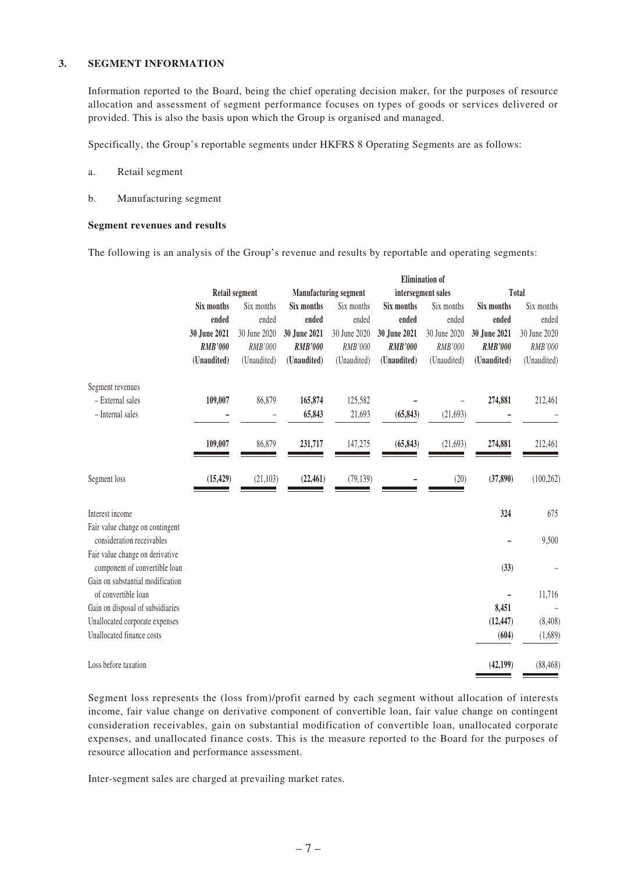#### **3. SEGMENT INFORMATION**

Information reported to the Board, being the chief operating decision maker, for the purposes of resource allocation and assessment of segment performance focuses on types of goods or services delivered or provided. This is also the basis upon which the Group is organised and managed.

Specifically, the Group's reportable segments under HKFRS 8 Operating Segments are as follows:

- a. Retail segment
- b. Manufacturing segment

#### **Segment revenues and results**

The following is an analysis of the Group's revenue and results by reportable and operating segments:

|                                                                  |                | <b>Elimination</b> of |                |                              |                |                    |                |              |
|------------------------------------------------------------------|----------------|-----------------------|----------------|------------------------------|----------------|--------------------|----------------|--------------|
|                                                                  |                | <b>Retail segment</b> |                | <b>Manufacturing segment</b> |                | intersegment sales |                | Total        |
|                                                                  | Six months     | Six months            | Six months     | Six months                   | Six months     | Six months         | Six months     | Six months   |
|                                                                  | ended          | ended                 | ended          | ended                        | ended          | ended              | ended          | ended        |
|                                                                  | 30 June 2021   | 30 June 2020          | 30 June 2021   | 30 June 2020                 | 30 June 2021   | 30 June 2020       | 30 June 2021   | 30 June 2020 |
|                                                                  | <b>RMB'000</b> | RMB'000               | <b>RMB'000</b> | RMB'000                      | <b>RMB'000</b> | RMB'000            | <b>RMB'000</b> | RMB'000      |
|                                                                  | (Unaudited)    | (Unaudited)           | (Unaudited)    | (Unaudited)                  | (Unaudited)    | (Unaudited)        | (Unaudited)    | (Unaudited)  |
| Segment revenues                                                 |                |                       |                |                              |                |                    |                |              |
| - External sales                                                 | 109,007        | 86,879                | 165,874        | 125,582                      |                |                    | 274,881        | 212,461      |
| - Internal sales                                                 |                |                       | 65,843         | 21,693                       | (65, 843)      | (21, 693)          |                |              |
|                                                                  | 109,007        | 86,879                | 231,717        | 147,275                      | (65, 843)      | (21,693)           | 274,881        | 212,461      |
| Segment loss                                                     | (15, 429)      | (21, 103)             | (22, 461)      | (79, 139)                    |                | (20)               | (37, 890)      | (100, 262)   |
| Interest income                                                  |                |                       |                |                              |                |                    | 324            | 675          |
| Fair value change on contingent<br>consideration receivables     |                |                       |                |                              |                |                    |                | 9,500        |
| Fair value change on derivative<br>component of convertible loan |                |                       |                |                              |                |                    | (33)           |              |
| Gain on substantial modification<br>of convertible loan          |                |                       |                |                              |                |                    |                | 11,716       |
| Gain on disposal of subsidiaries                                 |                |                       |                |                              |                |                    | 8,451          |              |
| Unallocated corporate expenses                                   |                |                       |                |                              |                |                    | (12, 447)      | (8, 408)     |
| Unallocated finance costs                                        |                |                       |                |                              |                |                    | (604)          | (1,689)      |
| Loss before taxation                                             |                |                       |                |                              |                |                    | (42, 199)      | (88, 468)    |

Segment loss represents the (loss from)/profit earned by each segment without allocation of interests income, fair value change on derivative component of convertible loan, fair value change on contingent consideration receivables, gain on substantial modification of convertible loan, unallocated corporate expenses, and unallocated finance costs. This is the measure reported to the Board for the purposes of resource allocation and performance assessment.

Inter-segment sales are charged at prevailing market rates.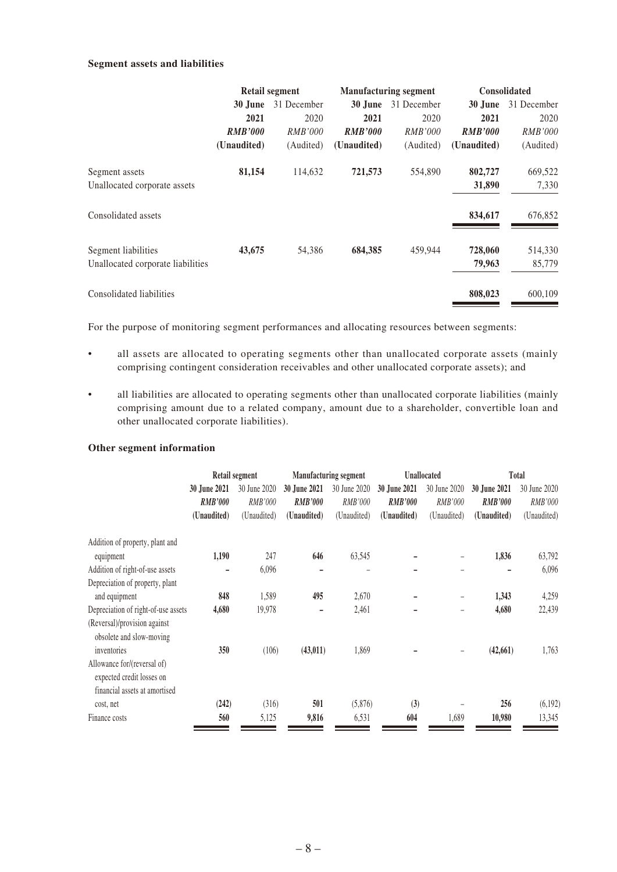#### **Segment assets and liabilities**

|                                   | <b>Retail segment</b> |                |                        | <b>Manufacturing segment</b> | <b>Consolidated</b> |                |  |
|-----------------------------------|-----------------------|----------------|------------------------|------------------------------|---------------------|----------------|--|
|                                   | 30 June               | 31 December    | 30 June<br>31 December |                              | 30 June             | 31 December    |  |
|                                   | 2021                  | 2020           | 2021                   | 2020                         | 2021                | 2020           |  |
|                                   | <b>RMB'000</b>        | <i>RMB'000</i> | <b>RMB'000</b>         | <i>RMB'000</i>               | <b>RMB'000</b>      | <i>RMB'000</i> |  |
|                                   | (Unaudited)           | (Audited)      | (Unaudited)            | (Audited)                    | (Unaudited)         | (Audited)      |  |
| Segment assets                    | 81,154                | 114,632        | 721,573                | 554,890                      | 802,727             | 669,522        |  |
| Unallocated corporate assets      |                       |                |                        |                              | 31,890              | 7,330          |  |
| Consolidated assets               |                       |                |                        |                              | 834,617             | 676,852        |  |
| Segment liabilities               | 43,675                | 54,386         | 684,385                | 459.944                      | 728,060             | 514,330        |  |
| Unallocated corporate liabilities |                       |                |                        |                              | 79,963              | 85,779         |  |
| Consolidated liabilities          |                       |                |                        |                              | 808,023             | 600,109        |  |

For the purpose of monitoring segment performances and allocating resources between segments:

- all assets are allocated to operating segments other than unallocated corporate assets (mainly comprising contingent consideration receivables and other unallocated corporate assets); and
- all liabilities are allocated to operating segments other than unallocated corporate liabilities (mainly comprising amount due to a related company, amount due to a shareholder, convertible loan and other unallocated corporate liabilities).

#### **Other segment information**

|                                                                                           | Retail segment |              |                | <b>Manufacturing segment</b> |                | <b>Unallocated</b> |                     | Total        |  |
|-------------------------------------------------------------------------------------------|----------------|--------------|----------------|------------------------------|----------------|--------------------|---------------------|--------------|--|
|                                                                                           | 30 June 2021   | 30 June 2020 | 30 June 2021   | 30 June 2020                 | 30 June 2021   | 30 June 2020       | <b>30 June 2021</b> | 30 June 2020 |  |
|                                                                                           | <b>RMB'000</b> | RMB'000      | <b>RMB'000</b> | RMB'000                      | <b>RMB'000</b> | <b>RMB'000</b>     | <b>RMB'000</b>      | RMB'000      |  |
|                                                                                           | (Unaudited)    | (Unaudited)  | (Unaudited)    | (Unaudited)                  | (Unaudited)    | (Unaudited)        | (Unaudited)         | (Unaudited)  |  |
| Addition of property, plant and                                                           |                |              |                |                              |                |                    |                     |              |  |
| equipment                                                                                 | 1,190          | 247          | 646            | 63,545                       |                |                    | 1,836               | 63,792       |  |
| Addition of right-of-use assets                                                           |                | 6,096        |                |                              |                |                    |                     | 6,096        |  |
| Depreciation of property, plant                                                           |                |              |                |                              |                |                    |                     |              |  |
| and equipment                                                                             | 848            | 1,589        | 495            | 2,670                        |                | -                  | 1,343               | 4,259        |  |
| Depreciation of right-of-use assets                                                       | 4,680          | 19,978       |                | 2,461                        |                |                    | 4,680               | 22,439       |  |
| (Reversal)/provision against<br>obsolete and slow-moving                                  |                |              |                |                              |                |                    |                     |              |  |
| inventories                                                                               | 350            | (106)        | (43, 011)      | 1,869                        |                |                    | (42, 661)           | 1,763        |  |
| Allowance for/(reversal of)<br>expected credit losses on<br>financial assets at amortised |                |              |                |                              |                |                    |                     |              |  |
| cost, net                                                                                 | (242)          | (316)        | 501            | (5,876)                      | (3)            |                    | 256                 | (6,192)      |  |
| Finance costs                                                                             | 560            | 5,125        | 9,816          | 6,531                        | 604            | 1,689              | 10,980              | 13,345       |  |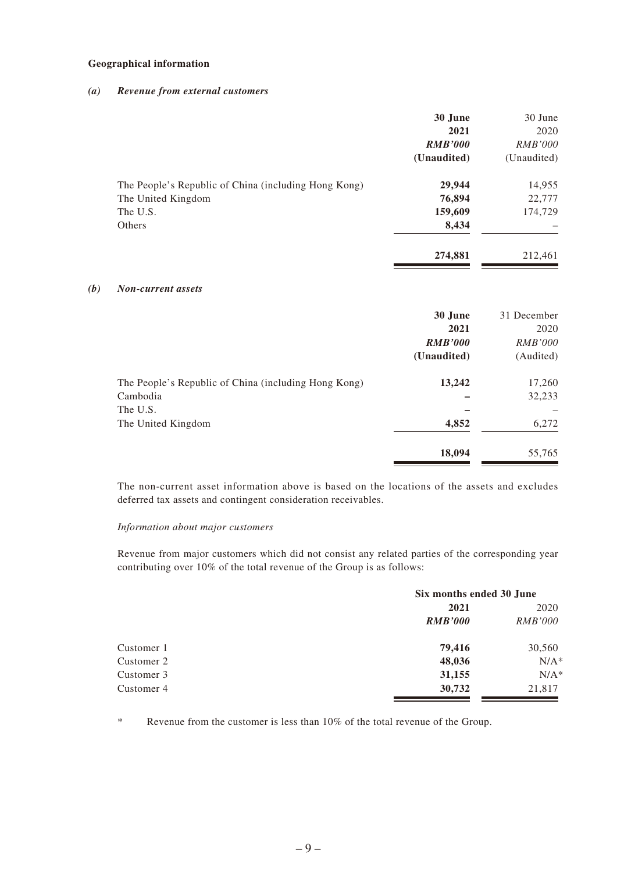#### **Geographical information**

#### *(a) Revenue from external customers*

|                                                      | 30 June        | 30 June        |
|------------------------------------------------------|----------------|----------------|
|                                                      | 2021           | 2020           |
|                                                      | <b>RMB'000</b> | <i>RMB'000</i> |
|                                                      | (Unaudited)    | (Unaudited)    |
| The People's Republic of China (including Hong Kong) | 29,944         | 14,955         |
| The United Kingdom                                   | 76,894         | 22,777         |
| The U.S.                                             | 159,609        | 174,729        |
| Others                                               | 8,434          |                |
|                                                      | 274,881        | 212,461        |

#### *(b) Non-current assets*

|                                                      | 30 June        | 31 December    |
|------------------------------------------------------|----------------|----------------|
|                                                      | 2021           | 2020           |
|                                                      | <b>RMB'000</b> | <i>RMB'000</i> |
|                                                      | (Unaudited)    | (Audited)      |
| The People's Republic of China (including Hong Kong) | 13,242         | 17,260         |
| Cambodia                                             |                | 32,233         |
| The U.S.                                             |                |                |
| The United Kingdom                                   | 4,852          | 6,272          |
|                                                      | 18,094         | 55,765         |

The non-current asset information above is based on the locations of the assets and excludes deferred tax assets and contingent consideration receivables.

#### *Information about major customers*

Revenue from major customers which did not consist any related parties of the corresponding year contributing over 10% of the total revenue of the Group is as follows:

|            | Six months ended 30 June |                |  |
|------------|--------------------------|----------------|--|
|            | 2021                     | 2020           |  |
|            | <b>RMB'000</b>           | <i>RMB'000</i> |  |
| Customer 1 | 79,416                   | 30,560         |  |
| Customer 2 | 48,036                   | $N/A^*$        |  |
| Customer 3 | 31,155                   | $N/A^*$        |  |
| Customer 4 | 30,732                   | 21,817         |  |

\* Revenue from the customer is less than 10% of the total revenue of the Group.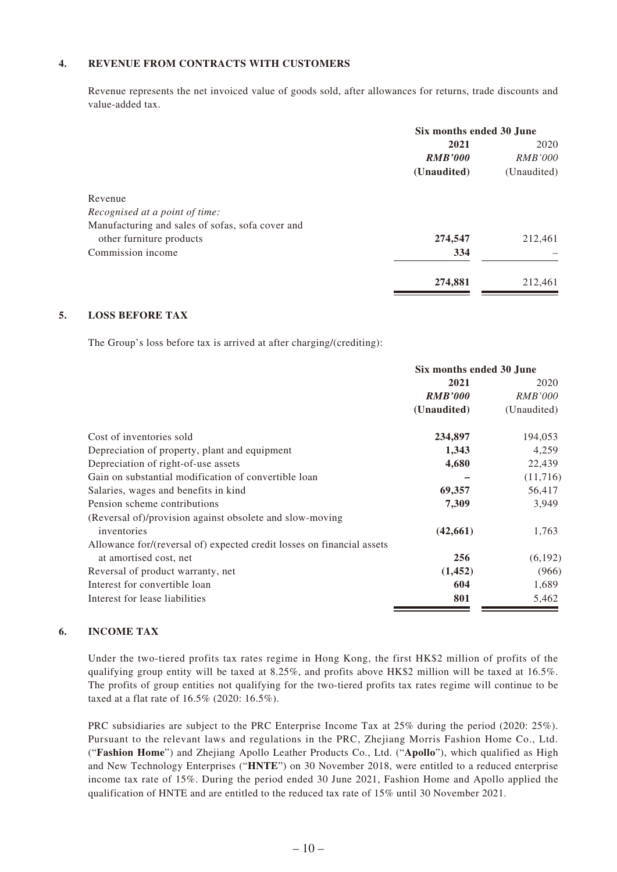#### **4. REVENUE FROM CONTRACTS WITH CUSTOMERS**

Revenue represents the net invoiced value of goods sold, after allowances for returns, trade discounts and value-added tax.

|                                                  | Six months ended 30 June |                |  |
|--------------------------------------------------|--------------------------|----------------|--|
|                                                  | 2021                     | 2020           |  |
|                                                  | <b>RMB'000</b>           | <i>RMB'000</i> |  |
|                                                  | (Unaudited)              | (Unaudited)    |  |
| Revenue                                          |                          |                |  |
| Recognised at a point of time:                   |                          |                |  |
| Manufacturing and sales of sofas, sofa cover and |                          |                |  |
| other furniture products                         | 274,547                  | 212,461        |  |
| Commission income                                | 334                      |                |  |
|                                                  | 274,881                  | 212,461        |  |

#### **5. LOSS BEFORE TAX**

The Group's loss before tax is arrived at after charging/(crediting):

|                                                                        | Six months ended 30 June |                |
|------------------------------------------------------------------------|--------------------------|----------------|
|                                                                        | 2021                     | 2020           |
|                                                                        | <b>RMB'000</b>           | <i>RMB'000</i> |
|                                                                        | (Unaudited)              | (Unaudited)    |
| Cost of inventories sold                                               | 234,897                  | 194,053        |
| Depreciation of property, plant and equipment                          | 1,343                    | 4,259          |
| Depreciation of right-of-use assets                                    | 4,680                    | 22,439         |
| Gain on substantial modification of convertible loan                   |                          | (11,716)       |
| Salaries, wages and benefits in kind.                                  | 69,357                   | 56,417         |
| Pension scheme contributions                                           | 7,309                    | 3,949          |
| (Reversal of)/provision against obsolete and slow-moving               |                          |                |
| inventories                                                            | (42, 661)                | 1,763          |
| Allowance for/(reversal of) expected credit losses on financial assets |                          |                |
| at amortised cost, net                                                 | 256                      | (6,192)        |
| Reversal of product warranty, net                                      | (1, 452)                 | (966)          |
| Interest for convertible loan                                          | 604                      | 1,689          |
| Interest for lease liabilities                                         | 801                      | 5,462          |

#### **6. INCOME TAX**

Under the two-tiered profits tax rates regime in Hong Kong, the first HK\$2 million of profits of the qualifying group entity will be taxed at 8.25%, and profits above HK\$2 million will be taxed at 16.5%. The profits of group entities not qualifying for the two-tiered profits tax rates regime will continue to be taxed at a flat rate of 16.5% (2020: 16.5%).

PRC subsidiaries are subject to the PRC Enterprise Income Tax at 25% during the period (2020: 25%). Pursuant to the relevant laws and regulations in the PRC, Zhejiang Morris Fashion Home Co., Ltd. ("**Fashion Home**") and Zhejiang Apollo Leather Products Co., Ltd. ("**Apollo**"), which qualified as High and New Technology Enterprises ("**HNTE**") on 30 November 2018, were entitled to a reduced enterprise income tax rate of 15%. During the period ended 30 June 2021, Fashion Home and Apollo applied the qualification of HNTE and are entitled to the reduced tax rate of 15% until 30 November 2021.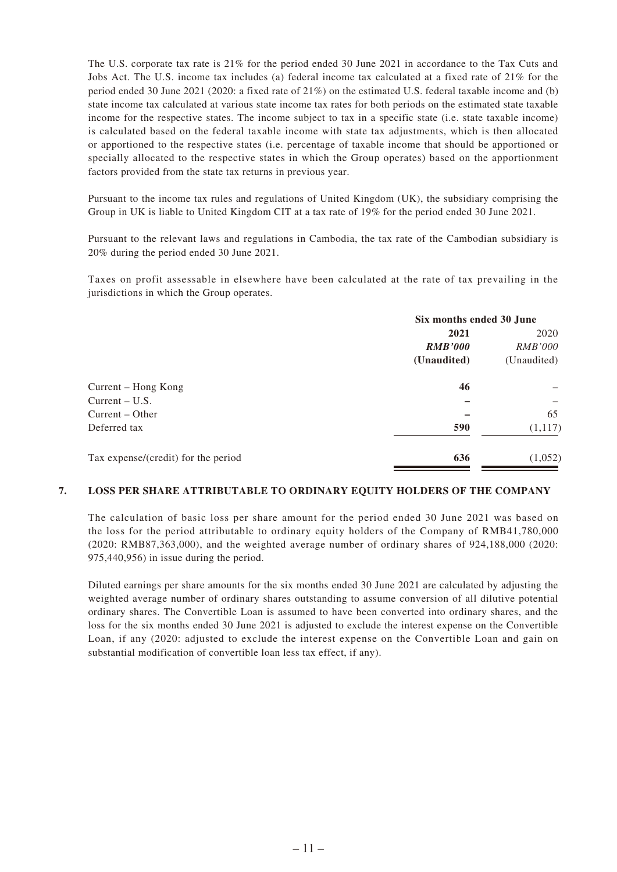The U.S. corporate tax rate is 21% for the period ended 30 June 2021 in accordance to the Tax Cuts and Jobs Act. The U.S. income tax includes (a) federal income tax calculated at a fixed rate of 21% for the period ended 30 June 2021 (2020: a fixed rate of 21%) on the estimated U.S. federal taxable income and (b) state income tax calculated at various state income tax rates for both periods on the estimated state taxable income for the respective states. The income subject to tax in a specific state (i.e. state taxable income) is calculated based on the federal taxable income with state tax adjustments, which is then allocated or apportioned to the respective states (i.e. percentage of taxable income that should be apportioned or specially allocated to the respective states in which the Group operates) based on the apportionment factors provided from the state tax returns in previous year.

Pursuant to the income tax rules and regulations of United Kingdom (UK), the subsidiary comprising the Group in UK is liable to United Kingdom CIT at a tax rate of 19% for the period ended 30 June 2021.

Pursuant to the relevant laws and regulations in Cambodia, the tax rate of the Cambodian subsidiary is 20% during the period ended 30 June 2021.

Taxes on profit assessable in elsewhere have been calculated at the rate of tax prevailing in the jurisdictions in which the Group operates.

|                                     |                | Six months ended 30 June |  |
|-------------------------------------|----------------|--------------------------|--|
|                                     | 2021           | 2020                     |  |
|                                     | <b>RMB'000</b> | <i>RMB'000</i>           |  |
|                                     | (Unaudited)    | (Unaudited)              |  |
| Current – Hong Kong                 | 46             |                          |  |
| Current – U.S.                      |                |                          |  |
| Current – Other                     |                | 65                       |  |
| Deferred tax                        | 590            | (1,117)                  |  |
| Tax expense/(credit) for the period | 636            | (1,052)                  |  |

#### **7. LOSS PER SHARE ATTRIBUTABLE TO ORDINARY EQUITY HOLDERS OF THE COMPANY**

The calculation of basic loss per share amount for the period ended 30 June 2021 was based on the loss for the period attributable to ordinary equity holders of the Company of RMB41,780,000 (2020: RMB87,363,000), and the weighted average number of ordinary shares of 924,188,000 (2020: 975,440,956) in issue during the period.

Diluted earnings per share amounts for the six months ended 30 June 2021 are calculated by adjusting the weighted average number of ordinary shares outstanding to assume conversion of all dilutive potential ordinary shares. The Convertible Loan is assumed to have been converted into ordinary shares, and the loss for the six months ended 30 June 2021 is adjusted to exclude the interest expense on the Convertible Loan, if any (2020: adjusted to exclude the interest expense on the Convertible Loan and gain on substantial modification of convertible loan less tax effect, if any).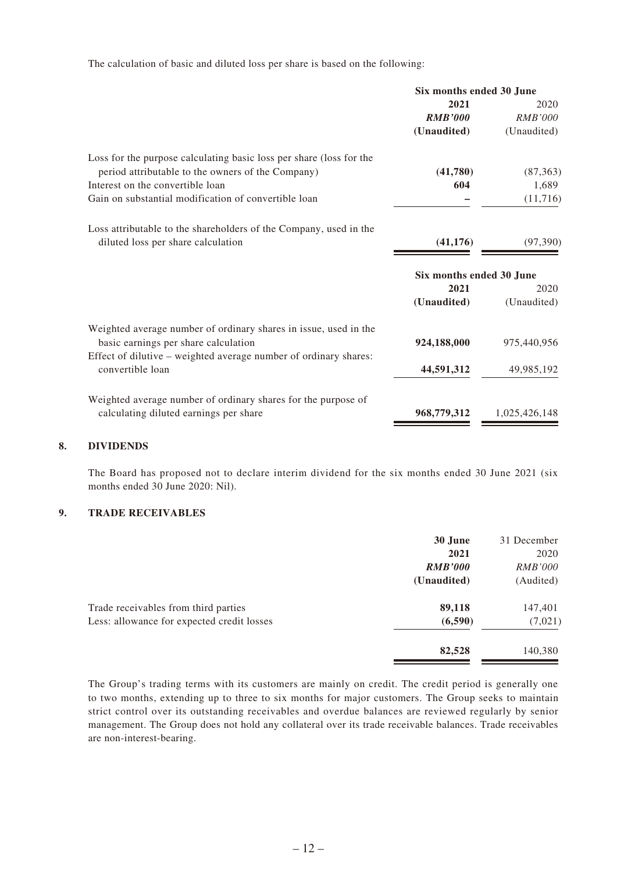The calculation of basic and diluted loss per share is based on the following:

| 2021<br><b>RMB'000</b><br>(Unaudited) | 2020<br><i>RMB'000</i><br>(Unaudited) |
|---------------------------------------|---------------------------------------|
|                                       |                                       |
|                                       |                                       |
|                                       |                                       |
|                                       |                                       |
| (41,780)                              | (87, 363)                             |
| 604                                   | 1,689                                 |
|                                       | (11, 716)                             |
|                                       |                                       |
| (41, 176)                             | (97, 390)                             |
| Six months ended 30 June              |                                       |
| 2021                                  | 2020                                  |
| (Unaudited)                           | (Unaudited)                           |
|                                       |                                       |
| 924,188,000                           | 975,440,956                           |
|                                       |                                       |
| 44,591,312                            | 49,985,192                            |
|                                       |                                       |
| 968,779,312                           | 1,025,426,148                         |
|                                       |                                       |

#### **8. DIVIDENDS**

The Board has proposed not to declare interim dividend for the six months ended 30 June 2021 (six months ended 30 June 2020: Nil).

#### **9. TRADE RECEIVABLES**

|                                            | 30 June        | 31 December    |
|--------------------------------------------|----------------|----------------|
|                                            | 2021           | 2020           |
|                                            | <b>RMB'000</b> | <i>RMB'000</i> |
|                                            | (Unaudited)    | (Audited)      |
| Trade receivables from third parties       | 89,118         | 147,401        |
| Less: allowance for expected credit losses | (6,590)        | (7,021)        |
|                                            | 82,528         | 140,380        |

The Group's trading terms with its customers are mainly on credit. The credit period is generally one to two months, extending up to three to six months for major customers. The Group seeks to maintain strict control over its outstanding receivables and overdue balances are reviewed regularly by senior management. The Group does not hold any collateral over its trade receivable balances. Trade receivables are non-interest-bearing.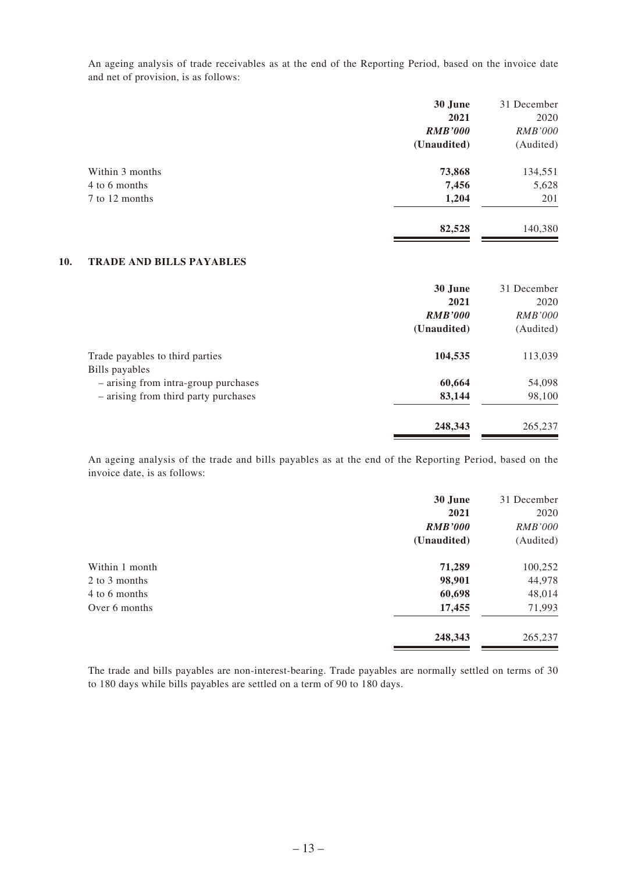An ageing analysis of trade receivables as at the end of the Reporting Period, based on the invoice date and net of provision, is as follows:

|                 | 30 June        | 31 December    |
|-----------------|----------------|----------------|
|                 | 2021           | 2020           |
|                 | <b>RMB'000</b> | <b>RMB'000</b> |
|                 | (Unaudited)    | (Audited)      |
| Within 3 months | 73,868         | 134,551        |
| 4 to 6 months   | 7,456          | 5,628          |
| 7 to 12 months  | 1,204          | 201            |
|                 | 82,528         | 140,380        |

#### **10. TRADE AND BILLS PAYABLES**

| 30 June        | 31 December    |
|----------------|----------------|
| 2021           | 2020           |
| <b>RMB'000</b> | <i>RMB'000</i> |
| (Unaudited)    | (Audited)      |
| 104,535        | 113,039        |
|                |                |
| 60,664         | 54,098         |
| 83,144         | 98,100         |
| 248,343        | 265,237        |
|                |                |

An ageing analysis of the trade and bills payables as at the end of the Reporting Period, based on the invoice date, is as follows:

|                | 30 June        | 31 December    |
|----------------|----------------|----------------|
|                | 2021           | 2020           |
|                | <b>RMB'000</b> | <b>RMB'000</b> |
|                | (Unaudited)    | (Audited)      |
| Within 1 month | 71,289         | 100,252        |
| 2 to 3 months  | 98,901         | 44,978         |
| 4 to 6 months  | 60,698         | 48,014         |
| Over 6 months  | 17,455         | 71,993         |
|                | 248,343        | 265,237        |

The trade and bills payables are non-interest-bearing. Trade payables are normally settled on terms of 30 to 180 days while bills payables are settled on a term of 90 to 180 days.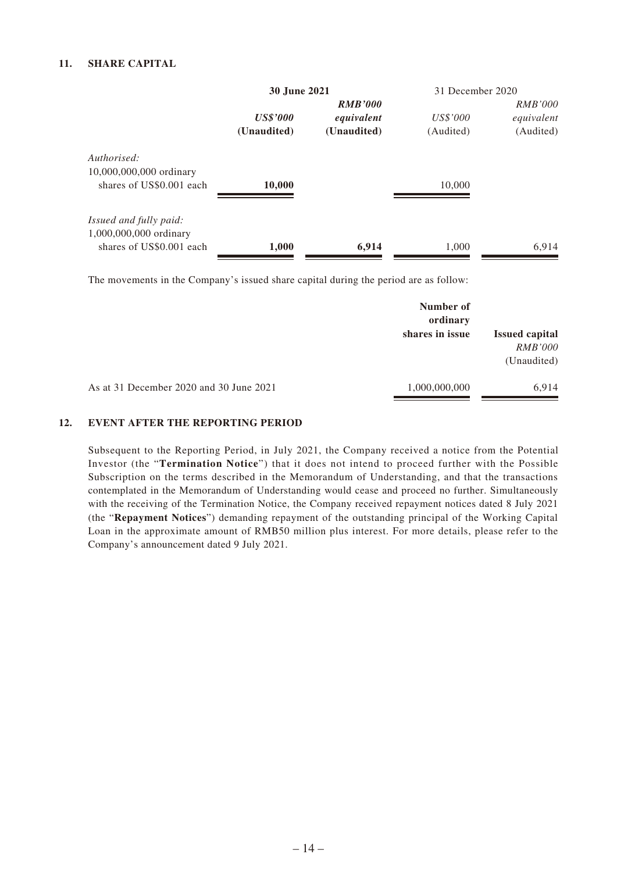#### **11. SHARE CAPITAL**

|                          | <b>30 June 2021</b> |                | 31 December 2020 |                |
|--------------------------|---------------------|----------------|------------------|----------------|
|                          |                     | <b>RMB'000</b> |                  | <i>RMB'000</i> |
|                          | <b>US\$'000</b>     | equivalent     | US\$'000         | equivalent     |
|                          | (Unaudited)         | (Unaudited)    | (Audited)        | (Audited)      |
| Authorised:              |                     |                |                  |                |
| 10,000,000,000 ordinary  |                     |                |                  |                |
| shares of US\$0.001 each | 10,000              |                | 10,000           |                |
|                          |                     |                |                  |                |
| Issued and fully paid:   |                     |                |                  |                |
| 1,000,000,000 ordinary   |                     |                |                  |                |
| shares of US\$0.001 each | 1,000               | 6,914          | 1.000            | 6.914          |

The movements in the Company's issued share capital during the period are as follow:

|                                         | Number of<br>ordinary |                                                        |
|-----------------------------------------|-----------------------|--------------------------------------------------------|
|                                         | shares in issue       | <b>Issued capital</b><br><b>RMB'000</b><br>(Unaudited) |
| As at 31 December 2020 and 30 June 2021 | 1,000,000,000         | 6.914                                                  |

#### **12. EVENT AFTER THE REPORTING PERIOD**

Subsequent to the Reporting Period, in July 2021, the Company received a notice from the Potential Investor (the "**Termination Notice**") that it does not intend to proceed further with the Possible Subscription on the terms described in the Memorandum of Understanding, and that the transactions contemplated in the Memorandum of Understanding would cease and proceed no further. Simultaneously with the receiving of the Termination Notice, the Company received repayment notices dated 8 July 2021 (the "**Repayment Notices**") demanding repayment of the outstanding principal of the Working Capital Loan in the approximate amount of RMB50 million plus interest. For more details, please refer to the Company's announcement dated 9 July 2021.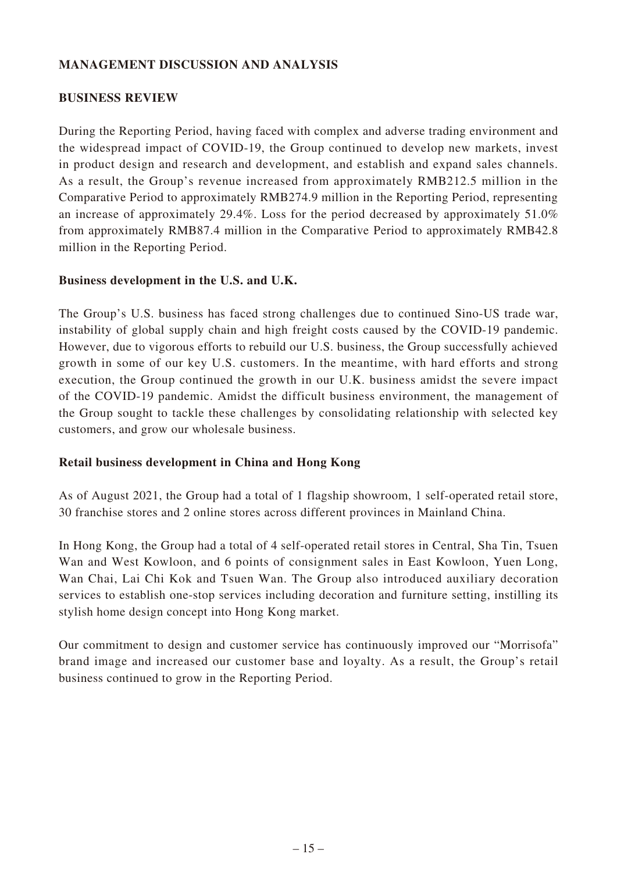## **MANAGEMENT DISCUSSION AND ANALYSIS**

### **BUSINESS REVIEW**

During the Reporting Period, having faced with complex and adverse trading environment and the widespread impact of COVID-19, the Group continued to develop new markets, invest in product design and research and development, and establish and expand sales channels. As a result, the Group's revenue increased from approximately RMB212.5 million in the Comparative Period to approximately RMB274.9 million in the Reporting Period, representing an increase of approximately 29.4%. Loss for the period decreased by approximately 51.0% from approximately RMB87.4 million in the Comparative Period to approximately RMB42.8 million in the Reporting Period.

### **Business development in the U.S. and U.K.**

The Group's U.S. business has faced strong challenges due to continued Sino-US trade war, instability of global supply chain and high freight costs caused by the COVID-19 pandemic. However, due to vigorous efforts to rebuild our U.S. business, the Group successfully achieved growth in some of our key U.S. customers. In the meantime, with hard efforts and strong execution, the Group continued the growth in our U.K. business amidst the severe impact of the COVID-19 pandemic. Amidst the difficult business environment, the management of the Group sought to tackle these challenges by consolidating relationship with selected key customers, and grow our wholesale business.

### **Retail business development in China and Hong Kong**

As of August 2021, the Group had a total of 1 flagship showroom, 1 self-operated retail store, 30 franchise stores and 2 online stores across different provinces in Mainland China.

In Hong Kong, the Group had a total of 4 self-operated retail stores in Central, Sha Tin, Tsuen Wan and West Kowloon, and 6 points of consignment sales in East Kowloon, Yuen Long, Wan Chai, Lai Chi Kok and Tsuen Wan. The Group also introduced auxiliary decoration services to establish one-stop services including decoration and furniture setting, instilling its stylish home design concept into Hong Kong market.

Our commitment to design and customer service has continuously improved our "Morrisofa" brand image and increased our customer base and loyalty. As a result, the Group's retail business continued to grow in the Reporting Period.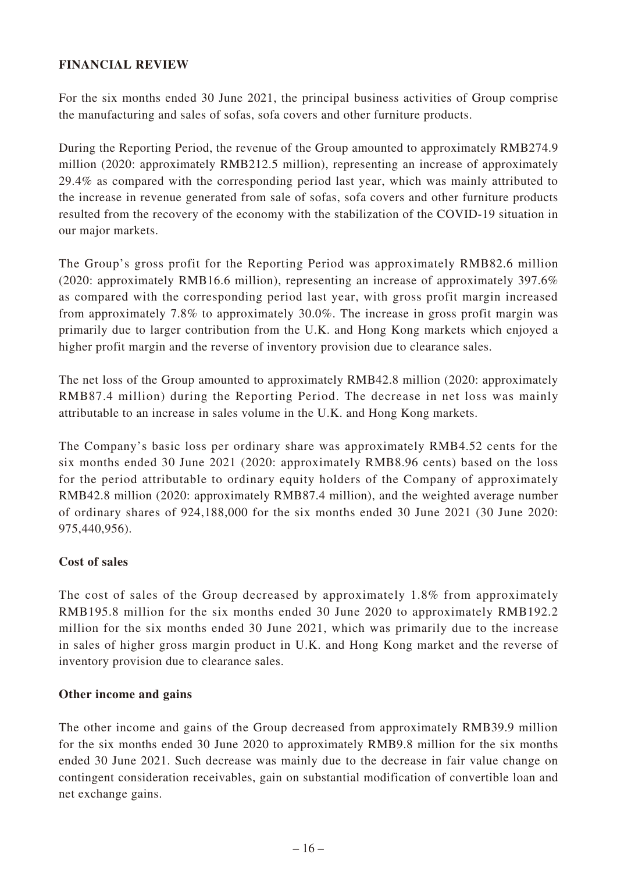### **FINANCIAL REVIEW**

For the six months ended 30 June 2021, the principal business activities of Group comprise the manufacturing and sales of sofas, sofa covers and other furniture products.

During the Reporting Period, the revenue of the Group amounted to approximately RMB274.9 million (2020: approximately RMB212.5 million), representing an increase of approximately 29.4% as compared with the corresponding period last year, which was mainly attributed to the increase in revenue generated from sale of sofas, sofa covers and other furniture products resulted from the recovery of the economy with the stabilization of the COVID-19 situation in our major markets.

The Group's gross profit for the Reporting Period was approximately RMB82.6 million (2020: approximately RMB16.6 million), representing an increase of approximately 397.6% as compared with the corresponding period last year, with gross profit margin increased from approximately 7.8% to approximately 30.0%. The increase in gross profit margin was primarily due to larger contribution from the U.K. and Hong Kong markets which enjoyed a higher profit margin and the reverse of inventory provision due to clearance sales.

The net loss of the Group amounted to approximately RMB42.8 million (2020: approximately RMB87.4 million) during the Reporting Period. The decrease in net loss was mainly attributable to an increase in sales volume in the U.K. and Hong Kong markets.

The Company's basic loss per ordinary share was approximately RMB4.52 cents for the six months ended 30 June 2021 (2020: approximately RMB8.96 cents) based on the loss for the period attributable to ordinary equity holders of the Company of approximately RMB42.8 million (2020: approximately RMB87.4 million), and the weighted average number of ordinary shares of 924,188,000 for the six months ended 30 June 2021 (30 June 2020: 975,440,956).

# **Cost of sales**

The cost of sales of the Group decreased by approximately 1.8% from approximately RMB195.8 million for the six months ended 30 June 2020 to approximately RMB192.2 million for the six months ended 30 June 2021, which was primarily due to the increase in sales of higher gross margin product in U.K. and Hong Kong market and the reverse of inventory provision due to clearance sales.

### **Other income and gains**

The other income and gains of the Group decreased from approximately RMB39.9 million for the six months ended 30 June 2020 to approximately RMB9.8 million for the six months ended 30 June 2021. Such decrease was mainly due to the decrease in fair value change on contingent consideration receivables, gain on substantial modification of convertible loan and net exchange gains.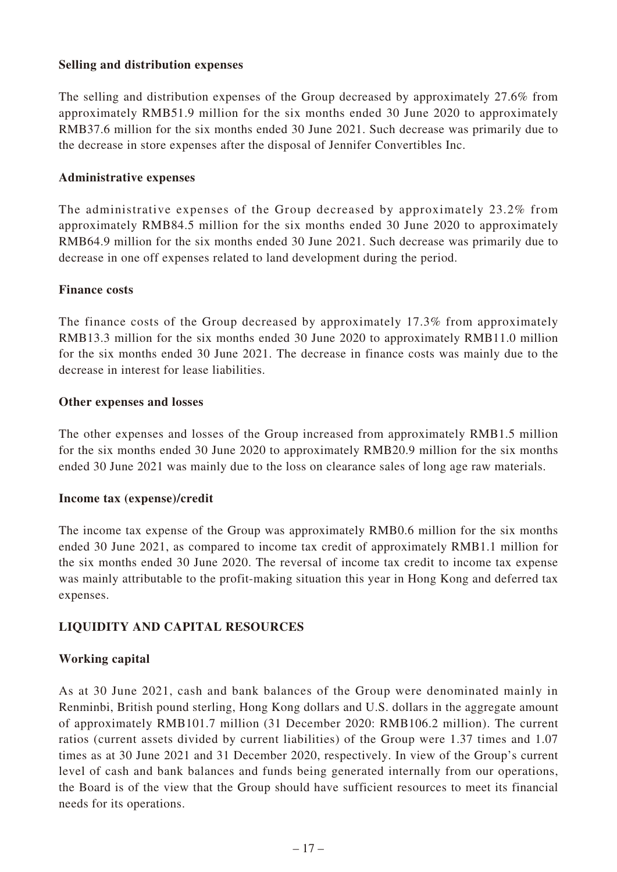### **Selling and distribution expenses**

The selling and distribution expenses of the Group decreased by approximately 27.6% from approximately RMB51.9 million for the six months ended 30 June 2020 to approximately RMB37.6 million for the six months ended 30 June 2021. Such decrease was primarily due to the decrease in store expenses after the disposal of Jennifer Convertibles Inc.

#### **Administrative expenses**

The administrative expenses of the Group decreased by approximately 23.2% from approximately RMB84.5 million for the six months ended 30 June 2020 to approximately RMB64.9 million for the six months ended 30 June 2021. Such decrease was primarily due to decrease in one off expenses related to land development during the period.

#### **Finance costs**

The finance costs of the Group decreased by approximately 17.3% from approximately RMB13.3 million for the six months ended 30 June 2020 to approximately RMB11.0 million for the six months ended 30 June 2021. The decrease in finance costs was mainly due to the decrease in interest for lease liabilities.

#### **Other expenses and losses**

The other expenses and losses of the Group increased from approximately RMB1.5 million for the six months ended 30 June 2020 to approximately RMB20.9 million for the six months ended 30 June 2021 was mainly due to the loss on clearance sales of long age raw materials.

#### **Income tax (expense)/credit**

The income tax expense of the Group was approximately RMB0.6 million for the six months ended 30 June 2021, as compared to income tax credit of approximately RMB1.1 million for the six months ended 30 June 2020. The reversal of income tax credit to income tax expense was mainly attributable to the profit-making situation this year in Hong Kong and deferred tax expenses.

### **LIQUIDITY AND CAPITAL RESOURCES**

### **Working capital**

As at 30 June 2021, cash and bank balances of the Group were denominated mainly in Renminbi, British pound sterling, Hong Kong dollars and U.S. dollars in the aggregate amount of approximately RMB101.7 million (31 December 2020: RMB106.2 million). The current ratios (current assets divided by current liabilities) of the Group were 1.37 times and 1.07 times as at 30 June 2021 and 31 December 2020, respectively. In view of the Group's current level of cash and bank balances and funds being generated internally from our operations, the Board is of the view that the Group should have sufficient resources to meet its financial needs for its operations.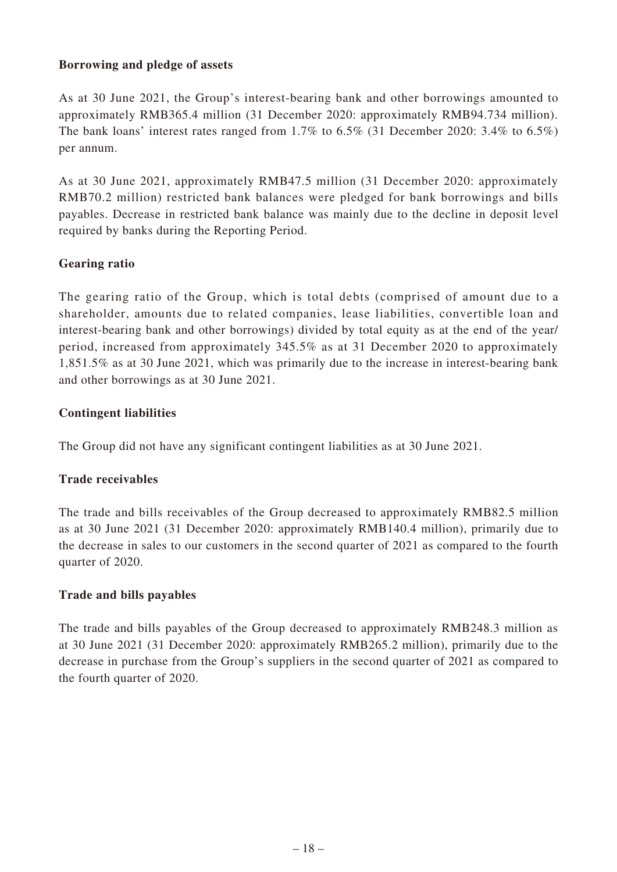### **Borrowing and pledge of assets**

As at 30 June 2021, the Group's interest-bearing bank and other borrowings amounted to approximately RMB365.4 million (31 December 2020: approximately RMB94.734 million). The bank loans' interest rates ranged from 1.7% to 6.5% (31 December 2020: 3.4% to 6.5%) per annum.

As at 30 June 2021, approximately RMB47.5 million (31 December 2020: approximately RMB70.2 million) restricted bank balances were pledged for bank borrowings and bills payables. Decrease in restricted bank balance was mainly due to the decline in deposit level required by banks during the Reporting Period.

# **Gearing ratio**

The gearing ratio of the Group, which is total debts (comprised of amount due to a shareholder, amounts due to related companies, lease liabilities, convertible loan and interest-bearing bank and other borrowings) divided by total equity as at the end of the year/ period, increased from approximately 345.5% as at 31 December 2020 to approximately 1,851.5% as at 30 June 2021, which was primarily due to the increase in interest-bearing bank and other borrowings as at 30 June 2021.

### **Contingent liabilities**

The Group did not have any significant contingent liabilities as at 30 June 2021.

# **Trade receivables**

The trade and bills receivables of the Group decreased to approximately RMB82.5 million as at 30 June 2021 (31 December 2020: approximately RMB140.4 million), primarily due to the decrease in sales to our customers in the second quarter of 2021 as compared to the fourth quarter of 2020.

# **Trade and bills payables**

The trade and bills payables of the Group decreased to approximately RMB248.3 million as at 30 June 2021 (31 December 2020: approximately RMB265.2 million), primarily due to the decrease in purchase from the Group's suppliers in the second quarter of 2021 as compared to the fourth quarter of 2020.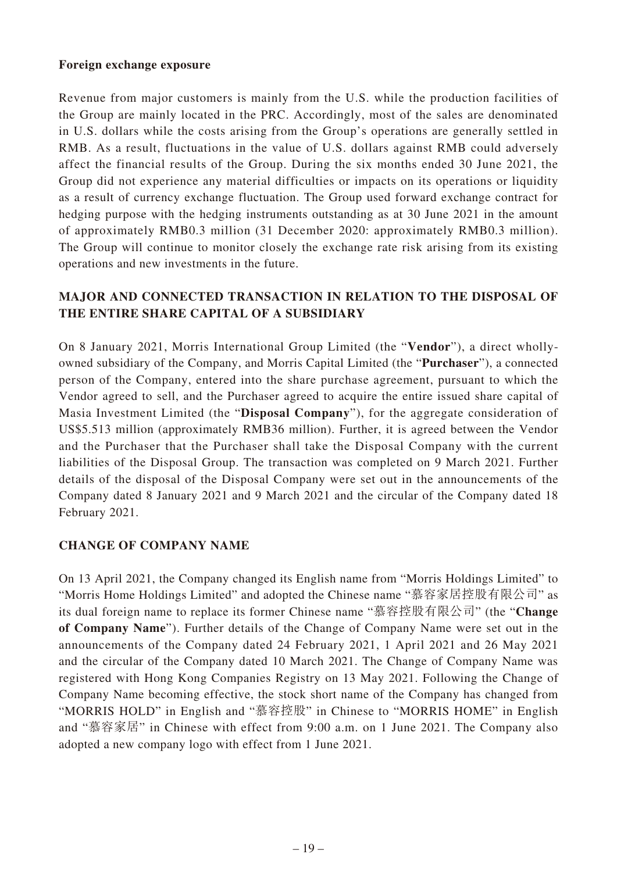#### **Foreign exchange exposure**

Revenue from major customers is mainly from the U.S. while the production facilities of the Group are mainly located in the PRC. Accordingly, most of the sales are denominated in U.S. dollars while the costs arising from the Group's operations are generally settled in RMB. As a result, fluctuations in the value of U.S. dollars against RMB could adversely affect the financial results of the Group. During the six months ended 30 June 2021, the Group did not experience any material difficulties or impacts on its operations or liquidity as a result of currency exchange fluctuation. The Group used forward exchange contract for hedging purpose with the hedging instruments outstanding as at 30 June 2021 in the amount of approximately RMB0.3 million (31 December 2020: approximately RMB0.3 million). The Group will continue to monitor closely the exchange rate risk arising from its existing operations and new investments in the future.

## **MAJOR AND CONNECTED TRANSACTION IN RELATION TO THE DISPOSAL OF THE ENTIRE SHARE CAPITAL OF A SUBSIDIARY**

On 8 January 2021, Morris International Group Limited (the "**Vendor**"), a direct whollyowned subsidiary of the Company, and Morris Capital Limited (the "**Purchaser**"), a connected person of the Company, entered into the share purchase agreement, pursuant to which the Vendor agreed to sell, and the Purchaser agreed to acquire the entire issued share capital of Masia Investment Limited (the "**Disposal Company**"), for the aggregate consideration of US\$5.513 million (approximately RMB36 million). Further, it is agreed between the Vendor and the Purchaser that the Purchaser shall take the Disposal Company with the current liabilities of the Disposal Group. The transaction was completed on 9 March 2021. Further details of the disposal of the Disposal Company were set out in the announcements of the Company dated 8 January 2021 and 9 March 2021 and the circular of the Company dated 18 February 2021.

### **CHANGE OF COMPANY NAME**

On 13 April 2021, the Company changed its English name from "Morris Holdings Limited" to "Morris Home Holdings Limited" and adopted the Chinese name "慕容家居控股有限公司" as its dual foreign name to replace its former Chinese name "慕容控股有限公司" (the "**Change of Company Name**"). Further details of the Change of Company Name were set out in the announcements of the Company dated 24 February 2021, 1 April 2021 and 26 May 2021 and the circular of the Company dated 10 March 2021. The Change of Company Name was registered with Hong Kong Companies Registry on 13 May 2021. Following the Change of Company Name becoming effective, the stock short name of the Company has changed from "MORRIS HOLD" in English and "慕容控股" in Chinese to "MORRIS HOME" in English and "慕容家居" in Chinese with effect from 9:00 a.m. on 1 June 2021. The Company also adopted a new company logo with effect from 1 June 2021.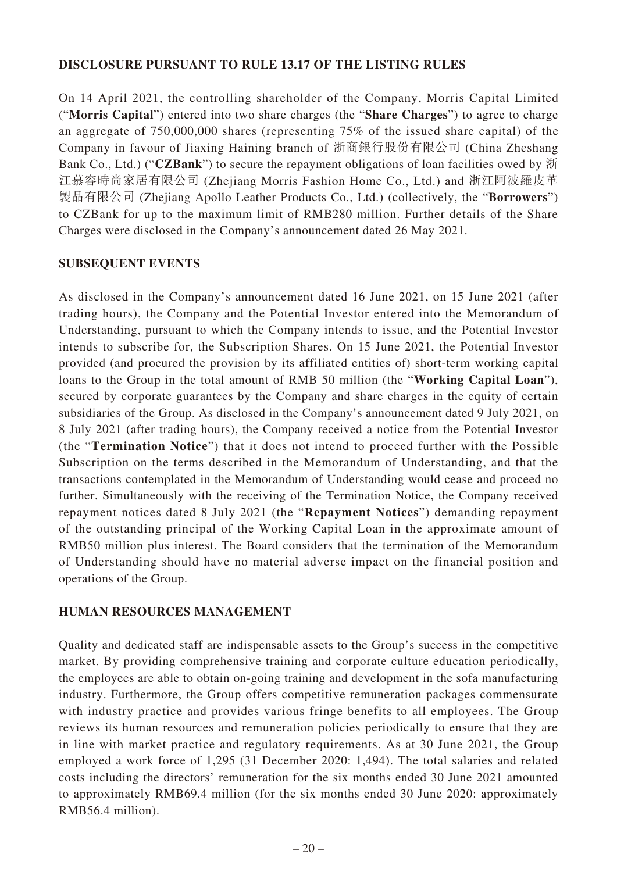### **DISCLOSURE PURSUANT TO RULE 13.17 OF THE LISTING RULES**

On 14 April 2021, the controlling shareholder of the Company, Morris Capital Limited ("**Morris Capital**") entered into two share charges (the "**Share Charges**") to agree to charge an aggregate of 750,000,000 shares (representing 75% of the issued share capital) of the Company in favour of Jiaxing Haining branch of 浙商銀行股份有限公司 (China Zheshang Bank Co., Ltd.) ("**CZBank**") to secure the repayment obligations of loan facilities owed by 浙 江慕容時尚家居有限公司 (Zhejiang Morris Fashion Home Co., Ltd.) and 浙江阿波羅皮革 製品有限公司 (Zhejiang Apollo Leather Products Co., Ltd.) (collectively, the "**Borrowers**") to CZBank for up to the maximum limit of RMB280 million. Further details of the Share Charges were disclosed in the Company's announcement dated 26 May 2021.

### **SUBSEQUENT EVENTS**

As disclosed in the Company's announcement dated 16 June 2021, on 15 June 2021 (after trading hours), the Company and the Potential Investor entered into the Memorandum of Understanding, pursuant to which the Company intends to issue, and the Potential Investor intends to subscribe for, the Subscription Shares. On 15 June 2021, the Potential Investor provided (and procured the provision by its affiliated entities of) short-term working capital loans to the Group in the total amount of RMB 50 million (the "**Working Capital Loan**"), secured by corporate guarantees by the Company and share charges in the equity of certain subsidiaries of the Group. As disclosed in the Company's announcement dated 9 July 2021, on 8 July 2021 (after trading hours), the Company received a notice from the Potential Investor (the "**Termination Notice**") that it does not intend to proceed further with the Possible Subscription on the terms described in the Memorandum of Understanding, and that the transactions contemplated in the Memorandum of Understanding would cease and proceed no further. Simultaneously with the receiving of the Termination Notice, the Company received repayment notices dated 8 July 2021 (the "**Repayment Notices**") demanding repayment of the outstanding principal of the Working Capital Loan in the approximate amount of RMB50 million plus interest. The Board considers that the termination of the Memorandum of Understanding should have no material adverse impact on the financial position and operations of the Group.

### **HUMAN RESOURCES MANAGEMENT**

Quality and dedicated staff are indispensable assets to the Group's success in the competitive market. By providing comprehensive training and corporate culture education periodically, the employees are able to obtain on-going training and development in the sofa manufacturing industry. Furthermore, the Group offers competitive remuneration packages commensurate with industry practice and provides various fringe benefits to all employees. The Group reviews its human resources and remuneration policies periodically to ensure that they are in line with market practice and regulatory requirements. As at 30 June 2021, the Group employed a work force of 1,295 (31 December 2020: 1,494). The total salaries and related costs including the directors' remuneration for the six months ended 30 June 2021 amounted to approximately RMB69.4 million (for the six months ended 30 June 2020: approximately RMB56.4 million).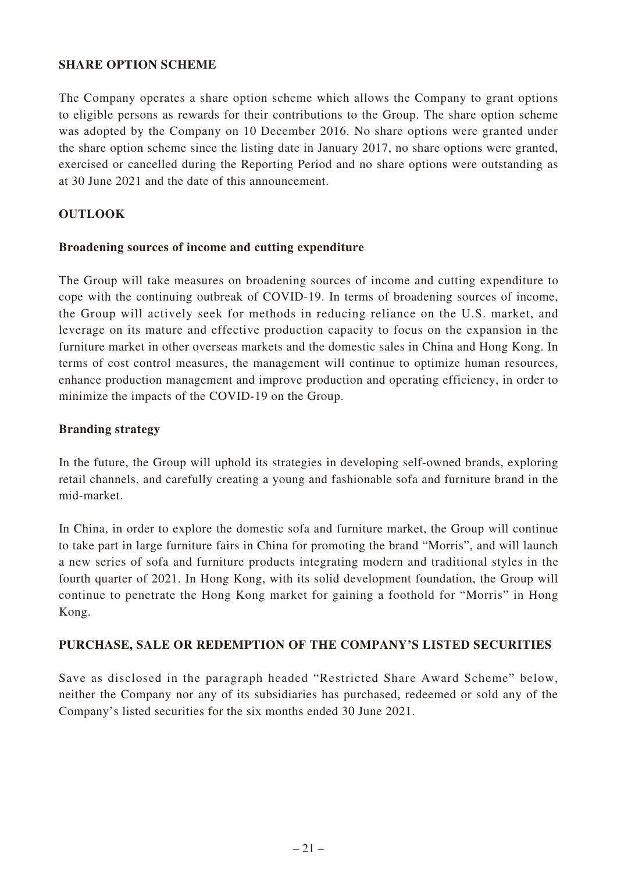### **SHARE OPTION SCHEME**

The Company operates a share option scheme which allows the Company to grant options to eligible persons as rewards for their contributions to the Group. The share option scheme was adopted by the Company on 10 December 2016. No share options were granted under the share option scheme since the listing date in January 2017, no share options were granted, exercised or cancelled during the Reporting Period and no share options were outstanding as at 30 June 2021 and the date of this announcement.

### **OUTLOOK**

#### **Broadening sources of income and cutting expenditure**

The Group will take measures on broadening sources of income and cutting expenditure to cope with the continuing outbreak of COVID-19. In terms of broadening sources of income, the Group will actively seek for methods in reducing reliance on the U.S. market, and leverage on its mature and effective production capacity to focus on the expansion in the furniture market in other overseas markets and the domestic sales in China and Hong Kong. In terms of cost control measures, the management will continue to optimize human resources, enhance production management and improve production and operating efficiency, in order to minimize the impacts of the COVID-19 on the Group.

#### **Branding strategy**

In the future, the Group will uphold its strategies in developing self-owned brands, exploring retail channels, and carefully creating a young and fashionable sofa and furniture brand in the mid-market.

In China, in order to explore the domestic sofa and furniture market, the Group will continue to take part in large furniture fairs in China for promoting the brand "Morris", and will launch a new series of sofa and furniture products integrating modern and traditional styles in the fourth quarter of 2021. In Hong Kong, with its solid development foundation, the Group will continue to penetrate the Hong Kong market for gaining a foothold for "Morris" in Hong Kong.

### **PURCHASE, SALE OR REDEMPTION OF THE COMPANY'S LISTED SECURITIES**

Save as disclosed in the paragraph headed "Restricted Share Award Scheme" below, neither the Company nor any of its subsidiaries has purchased, redeemed or sold any of the Company's listed securities for the six months ended 30 June 2021.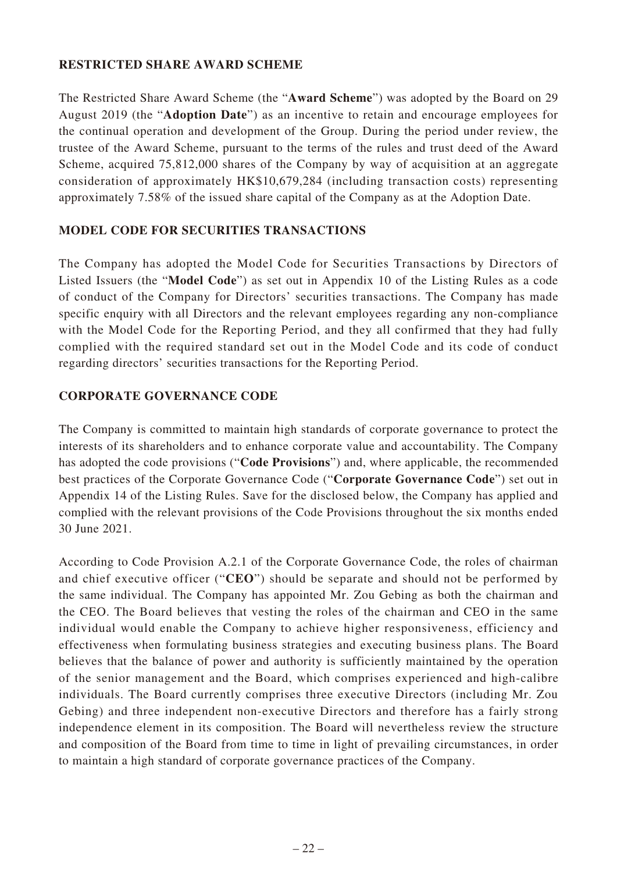## **RESTRICTED SHARE AWARD SCHEME**

The Restricted Share Award Scheme (the "**Award Scheme**") was adopted by the Board on 29 August 2019 (the "**Adoption Date**") as an incentive to retain and encourage employees for the continual operation and development of the Group. During the period under review, the trustee of the Award Scheme, pursuant to the terms of the rules and trust deed of the Award Scheme, acquired 75,812,000 shares of the Company by way of acquisition at an aggregate consideration of approximately HK\$10,679,284 (including transaction costs) representing approximately 7.58% of the issued share capital of the Company as at the Adoption Date.

## **MODEL CODE FOR SECURITIES TRANSACTIONS**

The Company has adopted the Model Code for Securities Transactions by Directors of Listed Issuers (the "**Model Code**") as set out in Appendix 10 of the Listing Rules as a code of conduct of the Company for Directors' securities transactions. The Company has made specific enquiry with all Directors and the relevant employees regarding any non-compliance with the Model Code for the Reporting Period, and they all confirmed that they had fully complied with the required standard set out in the Model Code and its code of conduct regarding directors' securities transactions for the Reporting Period.

## **CORPORATE GOVERNANCE CODE**

The Company is committed to maintain high standards of corporate governance to protect the interests of its shareholders and to enhance corporate value and accountability. The Company has adopted the code provisions ("**Code Provisions**") and, where applicable, the recommended best practices of the Corporate Governance Code ("**Corporate Governance Code**") set out in Appendix 14 of the Listing Rules. Save for the disclosed below, the Company has applied and complied with the relevant provisions of the Code Provisions throughout the six months ended 30 June 2021.

According to Code Provision A.2.1 of the Corporate Governance Code, the roles of chairman and chief executive officer ("**CEO**") should be separate and should not be performed by the same individual. The Company has appointed Mr. Zou Gebing as both the chairman and the CEO. The Board believes that vesting the roles of the chairman and CEO in the same individual would enable the Company to achieve higher responsiveness, efficiency and effectiveness when formulating business strategies and executing business plans. The Board believes that the balance of power and authority is sufficiently maintained by the operation of the senior management and the Board, which comprises experienced and high-calibre individuals. The Board currently comprises three executive Directors (including Mr. Zou Gebing) and three independent non-executive Directors and therefore has a fairly strong independence element in its composition. The Board will nevertheless review the structure and composition of the Board from time to time in light of prevailing circumstances, in order to maintain a high standard of corporate governance practices of the Company.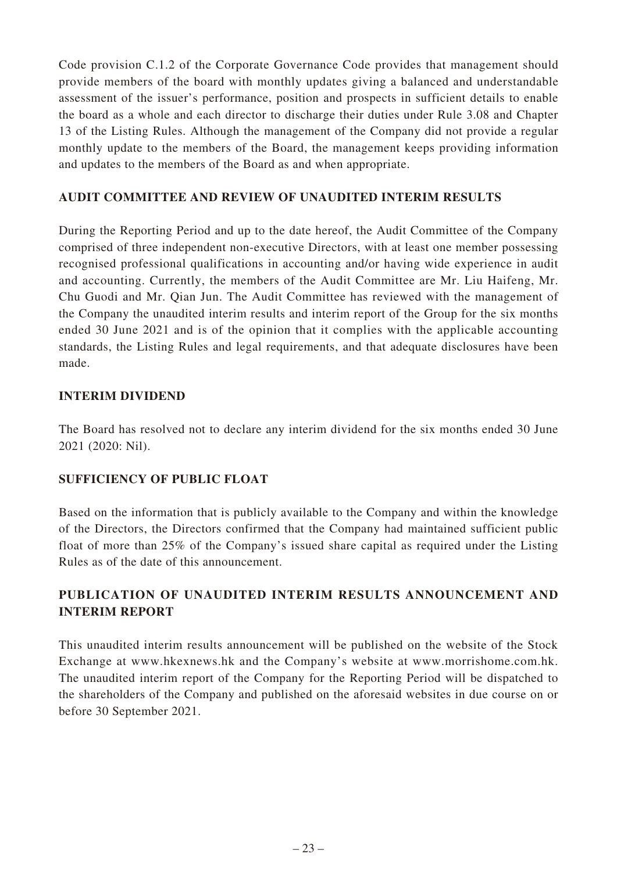Code provision C.1.2 of the Corporate Governance Code provides that management should provide members of the board with monthly updates giving a balanced and understandable assessment of the issuer's performance, position and prospects in sufficient details to enable the board as a whole and each director to discharge their duties under Rule 3.08 and Chapter 13 of the Listing Rules. Although the management of the Company did not provide a regular monthly update to the members of the Board, the management keeps providing information and updates to the members of the Board as and when appropriate.

# **AUDIT COMMITTEE AND REVIEW OF UNAUDITED INTERIM RESULTS**

During the Reporting Period and up to the date hereof, the Audit Committee of the Company comprised of three independent non-executive Directors, with at least one member possessing recognised professional qualifications in accounting and/or having wide experience in audit and accounting. Currently, the members of the Audit Committee are Mr. Liu Haifeng, Mr. Chu Guodi and Mr. Qian Jun. The Audit Committee has reviewed with the management of the Company the unaudited interim results and interim report of the Group for the six months ended 30 June 2021 and is of the opinion that it complies with the applicable accounting standards, the Listing Rules and legal requirements, and that adequate disclosures have been made.

# **INTERIM DIVIDEND**

The Board has resolved not to declare any interim dividend for the six months ended 30 June 2021 (2020: Nil).

# **SUFFICIENCY OF PUBLIC FLOAT**

Based on the information that is publicly available to the Company and within the knowledge of the Directors, the Directors confirmed that the Company had maintained sufficient public float of more than 25% of the Company's issued share capital as required under the Listing Rules as of the date of this announcement.

# **PUBLICATION OF UNAUDITED INTERIM RESULTS ANNOUNCEMENT AND INTERIM REPORT**

This unaudited interim results announcement will be published on the website of the Stock Exchange at www.hkexnews.hk and the Company's website at www.morrishome.com.hk. The unaudited interim report of the Company for the Reporting Period will be dispatched to the shareholders of the Company and published on the aforesaid websites in due course on or before 30 September 2021.